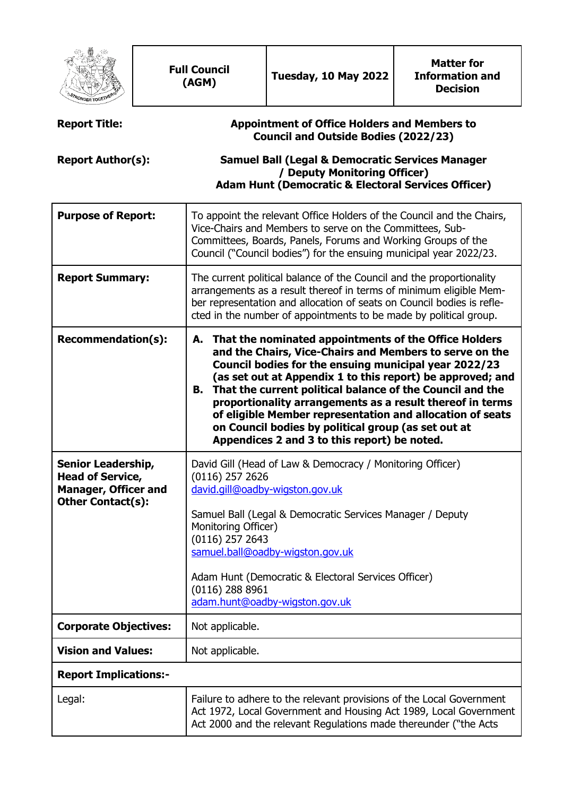|                                                                                                                 |  | <b>Full Council</b><br>(AGM)                                                                                                                                                                                                                                                                                                                                                                                                                                                                                                                   | Tuesday, 10 May 2022 | <b>Matter for</b><br><b>Information and</b><br><b>Decision</b> |  |
|-----------------------------------------------------------------------------------------------------------------|--|------------------------------------------------------------------------------------------------------------------------------------------------------------------------------------------------------------------------------------------------------------------------------------------------------------------------------------------------------------------------------------------------------------------------------------------------------------------------------------------------------------------------------------------------|----------------------|----------------------------------------------------------------|--|
| <b>Report Title:</b>                                                                                            |  | <b>Appointment of Office Holders and Members to</b><br><b>Council and Outside Bodies (2022/23)</b>                                                                                                                                                                                                                                                                                                                                                                                                                                             |                      |                                                                |  |
| <b>Report Author(s):</b>                                                                                        |  | <b>Samuel Ball (Legal &amp; Democratic Services Manager</b><br>/ Deputy Monitoring Officer)<br><b>Adam Hunt (Democratic &amp; Electoral Services Officer)</b>                                                                                                                                                                                                                                                                                                                                                                                  |                      |                                                                |  |
| <b>Purpose of Report:</b>                                                                                       |  | To appoint the relevant Office Holders of the Council and the Chairs,<br>Vice-Chairs and Members to serve on the Committees, Sub-<br>Committees, Boards, Panels, Forums and Working Groups of the<br>Council ("Council bodies") for the ensuing municipal year 2022/23.                                                                                                                                                                                                                                                                        |                      |                                                                |  |
| <b>Report Summary:</b>                                                                                          |  | The current political balance of the Council and the proportionality<br>arrangements as a result thereof in terms of minimum eligible Mem-<br>ber representation and allocation of seats on Council bodies is refle-<br>cted in the number of appointments to be made by political group.                                                                                                                                                                                                                                                      |                      |                                                                |  |
| <b>Recommendation(s):</b>                                                                                       |  | That the nominated appointments of the Office Holders<br>А.<br>and the Chairs, Vice-Chairs and Members to serve on the<br>Council bodies for the ensuing municipal year 2022/23<br>(as set out at Appendix 1 to this report) be approved; and<br>B. That the current political balance of the Council and the<br>proportionality arrangements as a result thereof in terms<br>of eligible Member representation and allocation of seats<br>on Council bodies by political group (as set out at<br>Appendices 2 and 3 to this report) be noted. |                      |                                                                |  |
| <b>Senior Leadership,</b><br><b>Head of Service,</b><br><b>Manager, Officer and</b><br><b>Other Contact(s):</b> |  | David Gill (Head of Law & Democracy / Monitoring Officer)<br>$(0116)$ 257 2626<br>david.gill@oadby-wigston.gov.uk<br>Samuel Ball (Legal & Democratic Services Manager / Deputy<br>Monitoring Officer)<br>$(0116)$ 257 2643<br>samuel.ball@oadby-wigston.gov.uk<br>Adam Hunt (Democratic & Electoral Services Officer)<br>$(0116)$ 288 8961<br>adam.hunt@oadby-wigston.gov.uk                                                                                                                                                                   |                      |                                                                |  |
| <b>Corporate Objectives:</b>                                                                                    |  | Not applicable.                                                                                                                                                                                                                                                                                                                                                                                                                                                                                                                                |                      |                                                                |  |
| <b>Vision and Values:</b>                                                                                       |  | Not applicable.                                                                                                                                                                                                                                                                                                                                                                                                                                                                                                                                |                      |                                                                |  |
| <b>Report Implications:-</b>                                                                                    |  |                                                                                                                                                                                                                                                                                                                                                                                                                                                                                                                                                |                      |                                                                |  |
| Legal:                                                                                                          |  | Failure to adhere to the relevant provisions of the Local Government<br>Act 1972, Local Government and Housing Act 1989, Local Government<br>Act 2000 and the relevant Regulations made thereunder ("the Acts                                                                                                                                                                                                                                                                                                                                  |                      |                                                                |  |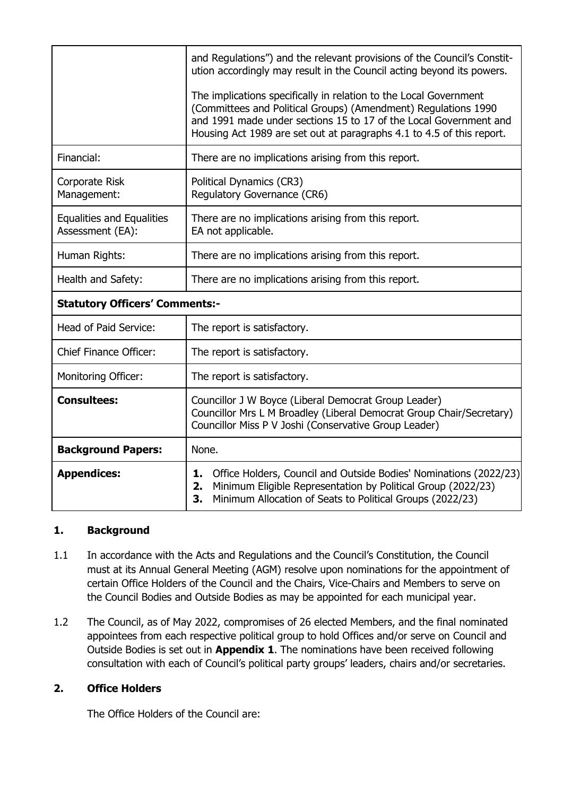|                                                      | and Regulations") and the relevant provisions of the Council's Constit-<br>ution accordingly may result in the Council acting beyond its powers.<br>The implications specifically in relation to the Local Government<br>(Committees and Political Groups) (Amendment) Regulations 1990<br>and 1991 made under sections 15 to 17 of the Local Government and<br>Housing Act 1989 are set out at paragraphs 4.1 to 4.5 of this report. |  |  |
|------------------------------------------------------|---------------------------------------------------------------------------------------------------------------------------------------------------------------------------------------------------------------------------------------------------------------------------------------------------------------------------------------------------------------------------------------------------------------------------------------|--|--|
| Financial:                                           | There are no implications arising from this report.                                                                                                                                                                                                                                                                                                                                                                                   |  |  |
| Corporate Risk<br>Management:                        | Political Dynamics (CR3)<br>Regulatory Governance (CR6)                                                                                                                                                                                                                                                                                                                                                                               |  |  |
| <b>Equalities and Equalities</b><br>Assessment (EA): | There are no implications arising from this report.<br>EA not applicable.                                                                                                                                                                                                                                                                                                                                                             |  |  |
| Human Rights:                                        | There are no implications arising from this report.                                                                                                                                                                                                                                                                                                                                                                                   |  |  |
| Health and Safety:                                   | There are no implications arising from this report.                                                                                                                                                                                                                                                                                                                                                                                   |  |  |
| <b>Statutory Officers' Comments:-</b>                |                                                                                                                                                                                                                                                                                                                                                                                                                                       |  |  |
| Head of Paid Service:                                | The report is satisfactory.                                                                                                                                                                                                                                                                                                                                                                                                           |  |  |
| <b>Chief Finance Officer:</b>                        | The report is satisfactory.                                                                                                                                                                                                                                                                                                                                                                                                           |  |  |
| <b>Monitoring Officer:</b>                           | The report is satisfactory.                                                                                                                                                                                                                                                                                                                                                                                                           |  |  |
| <b>Consultees:</b>                                   | Councillor J W Boyce (Liberal Democrat Group Leader)<br>Councillor Mrs L M Broadley (Liberal Democrat Group Chair/Secretary)<br>Councillor Miss P V Joshi (Conservative Group Leader)                                                                                                                                                                                                                                                 |  |  |
| <b>Background Papers:</b>                            | None.                                                                                                                                                                                                                                                                                                                                                                                                                                 |  |  |
| <b>Appendices:</b>                                   | Office Holders, Council and Outside Bodies' Nominations (2022/23)<br>Minimum Eligible Representation by Political Group (2022/23)<br>Minimum Allocation of Seats to Political Groups (2022/23)                                                                                                                                                                                                                                        |  |  |

## **1. Background**

- 1.1 In accordance with the Acts and Regulations and the Council's Constitution, the Council must at its Annual General Meeting (AGM) resolve upon nominations for the appointment of certain Office Holders of the Council and the Chairs, Vice-Chairs and Members to serve on the Council Bodies and Outside Bodies as may be appointed for each municipal year.
- 1.2 The Council, as of May 2022, compromises of 26 elected Members, and the final nominated appointees from each respective political group to hold Offices and/or serve on Council and Outside Bodies is set out in **Appendix 1**. The nominations have been received following consultation with each of Council's political party groups' leaders, chairs and/or secretaries.

## **2. Office Holders**

The Office Holders of the Council are: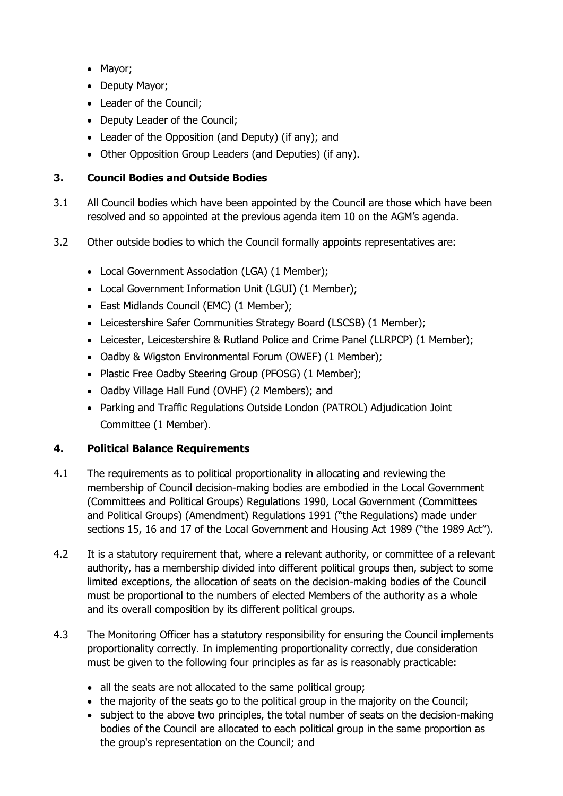- Mavor:
- Deputy Mayor;
- Leader of the Council:
- Deputy Leader of the Council:
- Leader of the Opposition (and Deputy) (if any); and
- Other Opposition Group Leaders (and Deputies) (if any).

## **3. Council Bodies and Outside Bodies**

- 3.1 All Council bodies which have been appointed by the Council are those which have been resolved and so appointed at the previous agenda item 10 on the AGM's agenda.
- 3.2 Other outside bodies to which the Council formally appoints representatives are:
	- Local Government Association (LGA) (1 Member);
	- Local Government Information Unit (LGUI) (1 Member);
	- East Midlands Council (EMC) (1 Member);
	- Leicestershire Safer Communities Strategy Board (LSCSB) (1 Member);
	- Leicester, Leicestershire & Rutland Police and Crime Panel (LLRPCP) (1 Member);
	- Oadby & Wigston Environmental Forum (OWEF) (1 Member);
	- Plastic Free Oadby Steering Group (PFOSG) (1 Member);
	- Oadby Village Hall Fund (OVHF) (2 Members); and
	- Parking and Traffic Regulations Outside London (PATROL) Adjudication Joint Committee (1 Member).

## **4. Political Balance Requirements**

- 4.1 The requirements as to political proportionality in allocating and reviewing the membership of Council decision-making bodies are embodied in the Local Government (Committees and Political Groups) Regulations 1990, Local Government (Committees and Political Groups) (Amendment) Regulations 1991 ("the Regulations) made under sections 15, 16 and 17 of the Local Government and Housing Act 1989 ("the 1989 Act").
- 4.2 It is a statutory requirement that, where a relevant authority, or committee of a relevant authority, has a membership divided into different political groups then, subject to some limited exceptions, the allocation of seats on the decision-making bodies of the Council must be proportional to the numbers of elected Members of the authority as a whole and its overall composition by its different political groups.
- 4.3 The Monitoring Officer has a statutory responsibility for ensuring the Council implements proportionality correctly. In implementing proportionality correctly, due consideration must be given to the following four principles as far as is reasonably practicable:
	- all the seats are not allocated to the same political group;
	- the majority of the seats go to the political group in the majority on the Council;
	- subject to the above two principles, the total number of seats on the decision-making bodies of the Council are allocated to each political group in the same proportion as the group's representation on the Council; and